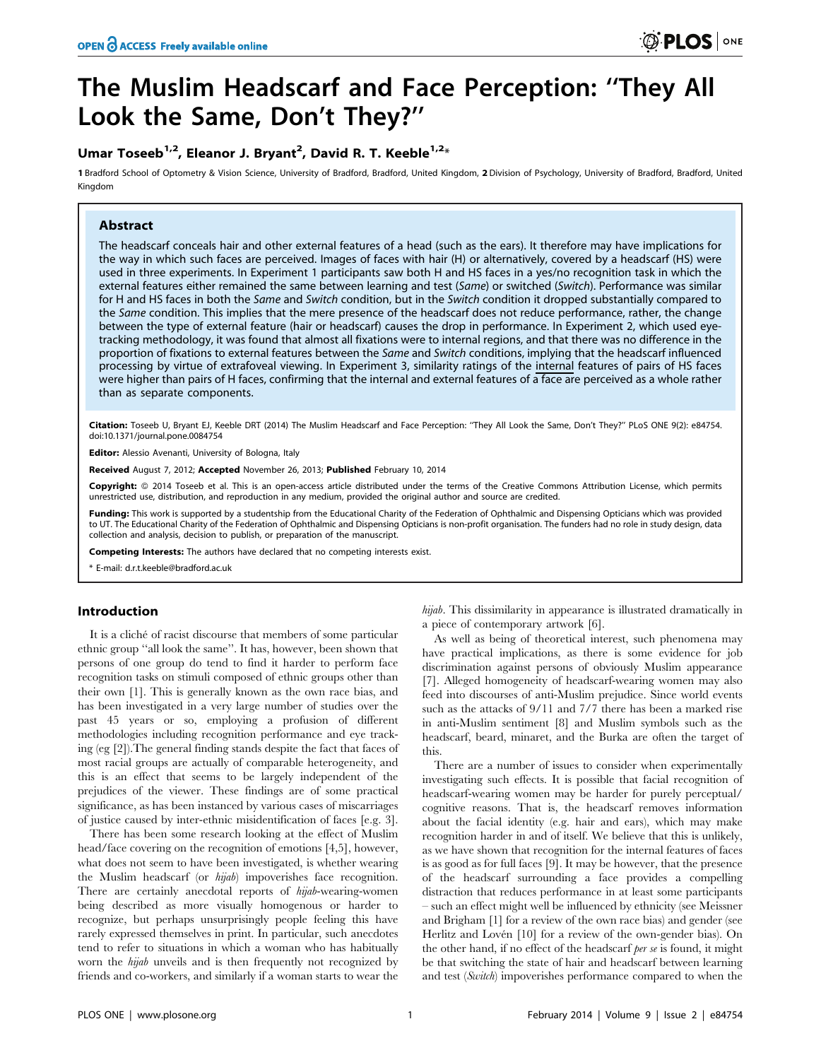# The Muslim Headscarf and Face Perception: ''They All Look the Same, Don't They?''

# Umar Toseeb<sup>1,2</sup>, Eleanor J. Bryant<sup>2</sup>, David R. T. Keeble<sup>1,2</sup>\*

1 Bradford School of Optometry & Vision Science, University of Bradford, Bradford, United Kingdom, 2 Division of Psychology, University of Bradford, Bradford, United Kingdom

# Abstract

The headscarf conceals hair and other external features of a head (such as the ears). It therefore may have implications for the way in which such faces are perceived. Images of faces with hair (H) or alternatively, covered by a headscarf (HS) were used in three experiments. In Experiment 1 participants saw both H and HS faces in a yes/no recognition task in which the external features either remained the same between learning and test (Same) or switched (Switch). Performance was similar for H and HS faces in both the Same and Switch condition, but in the Switch condition it dropped substantially compared to the Same condition. This implies that the mere presence of the headscarf does not reduce performance, rather, the change between the type of external feature (hair or headscarf) causes the drop in performance. In Experiment 2, which used eyetracking methodology, it was found that almost all fixations were to internal regions, and that there was no difference in the proportion of fixations to external features between the Same and Switch conditions, implying that the headscarf influenced processing by virtue of extrafoveal viewing. In Experiment 3, similarity ratings of the internal features of pairs of HS faces were higher than pairs of H faces, confirming that the internal and external features of a face are perceived as a whole rather than as separate components.

Citation: Toseeb U, Bryant EJ, Keeble DRT (2014) The Muslim Headscarf and Face Perception: ''They All Look the Same, Don't They?'' PLoS ONE 9(2): e84754. doi:10.1371/journal.pone.0084754

Editor: Alessio Avenanti, University of Bologna, Italy

Received August 7, 2012; Accepted November 26, 2013; Published February 10, 2014

Copyright: © 2014 Toseeb et al. This is an open-access article distributed under the terms of the Creative Commons Attribution License, which permits unrestricted use, distribution, and reproduction in any medium, provided the original author and source are credited.

Funding: This work is supported by a studentship from the Educational Charity of the Federation of Ophthalmic and Dispensing Opticians which was provided to UT. The Educational Charity of the Federation of Ophthalmic and Dispensing Opticians is non-profit organisation. The funders had no role in study design, data collection and analysis, decision to publish, or preparation of the manuscript.

Competing Interests: The authors have declared that no competing interests exist.

\* E-mail: d.r.t.keeble@bradford.ac.uk

# Introduction

It is a cliché of racist discourse that members of some particular ethnic group ''all look the same''. It has, however, been shown that persons of one group do tend to find it harder to perform face recognition tasks on stimuli composed of ethnic groups other than their own [1]. This is generally known as the own race bias, and has been investigated in a very large number of studies over the past 45 years or so, employing a profusion of different methodologies including recognition performance and eye tracking (eg [2]).The general finding stands despite the fact that faces of most racial groups are actually of comparable heterogeneity, and this is an effect that seems to be largely independent of the prejudices of the viewer. These findings are of some practical significance, as has been instanced by various cases of miscarriages of justice caused by inter-ethnic misidentification of faces [e.g. 3].

There has been some research looking at the effect of Muslim head/face covering on the recognition of emotions [4,5], however, what does not seem to have been investigated, is whether wearing the Muslim headscarf (or hijab) impoverishes face recognition. There are certainly anecdotal reports of hijab-wearing-women being described as more visually homogenous or harder to recognize, but perhaps unsurprisingly people feeling this have rarely expressed themselves in print. In particular, such anecdotes tend to refer to situations in which a woman who has habitually worn the hijab unveils and is then frequently not recognized by friends and co-workers, and similarly if a woman starts to wear the hijab. This dissimilarity in appearance is illustrated dramatically in a piece of contemporary artwork [6].

As well as being of theoretical interest, such phenomena may have practical implications, as there is some evidence for job discrimination against persons of obviously Muslim appearance [7]. Alleged homogeneity of headscarf-wearing women may also feed into discourses of anti-Muslim prejudice. Since world events such as the attacks of 9/11 and 7/7 there has been a marked rise in anti-Muslim sentiment [8] and Muslim symbols such as the headscarf, beard, minaret, and the Burka are often the target of this.

There are a number of issues to consider when experimentally investigating such effects. It is possible that facial recognition of headscarf-wearing women may be harder for purely perceptual/ cognitive reasons. That is, the headscarf removes information about the facial identity (e.g. hair and ears), which may make recognition harder in and of itself. We believe that this is unlikely, as we have shown that recognition for the internal features of faces is as good as for full faces [9]. It may be however, that the presence of the headscarf surrounding a face provides a compelling distraction that reduces performance in at least some participants – such an effect might well be influenced by ethnicity (see Meissner and Brigham [1] for a review of the own race bias) and gender (see Herlitz and Lovén [10] for a review of the own-gender bias). On the other hand, if no effect of the headscarf *per se* is found, it might be that switching the state of hair and headscarf between learning and test (Switch) impoverishes performance compared to when the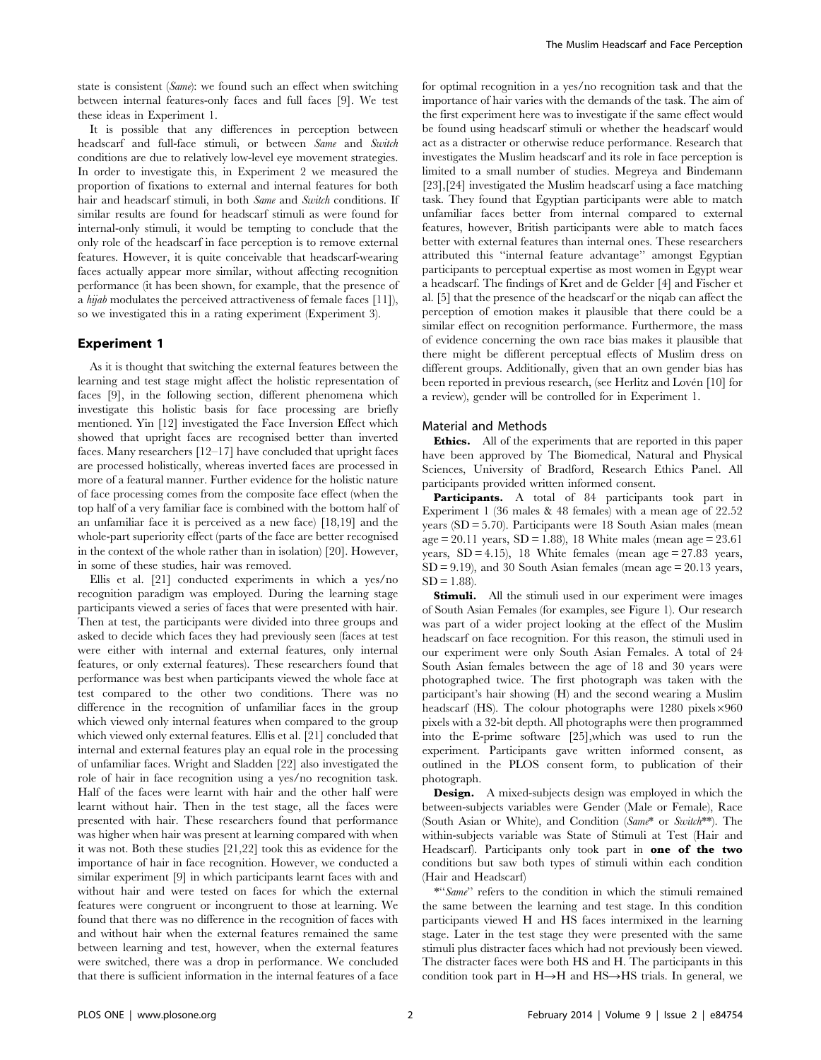state is consistent (Same): we found such an effect when switching between internal features-only faces and full faces [9]. We test these ideas in Experiment 1.

It is possible that any differences in perception between headscarf and full-face stimuli, or between Same and Switch conditions are due to relatively low-level eye movement strategies. In order to investigate this, in Experiment 2 we measured the proportion of fixations to external and internal features for both hair and headscarf stimuli, in both *Same* and *Switch* conditions. If similar results are found for headscarf stimuli as were found for internal-only stimuli, it would be tempting to conclude that the only role of the headscarf in face perception is to remove external features. However, it is quite conceivable that headscarf-wearing faces actually appear more similar, without affecting recognition performance (it has been shown, for example, that the presence of a hijab modulates the perceived attractiveness of female faces [11]), so we investigated this in a rating experiment (Experiment 3).

# Experiment 1

As it is thought that switching the external features between the learning and test stage might affect the holistic representation of faces [9], in the following section, different phenomena which investigate this holistic basis for face processing are briefly mentioned. Yin [12] investigated the Face Inversion Effect which showed that upright faces are recognised better than inverted faces. Many researchers [12–17] have concluded that upright faces are processed holistically, whereas inverted faces are processed in more of a featural manner. Further evidence for the holistic nature of face processing comes from the composite face effect (when the top half of a very familiar face is combined with the bottom half of an unfamiliar face it is perceived as a new face) [18,19] and the whole-part superiority effect (parts of the face are better recognised in the context of the whole rather than in isolation) [20]. However, in some of these studies, hair was removed.

Ellis et al. [21] conducted experiments in which a yes/no recognition paradigm was employed. During the learning stage participants viewed a series of faces that were presented with hair. Then at test, the participants were divided into three groups and asked to decide which faces they had previously seen (faces at test were either with internal and external features, only internal features, or only external features). These researchers found that performance was best when participants viewed the whole face at test compared to the other two conditions. There was no difference in the recognition of unfamiliar faces in the group which viewed only internal features when compared to the group which viewed only external features. Ellis et al. [21] concluded that internal and external features play an equal role in the processing of unfamiliar faces. Wright and Sladden [22] also investigated the role of hair in face recognition using a yes/no recognition task. Half of the faces were learnt with hair and the other half were learnt without hair. Then in the test stage, all the faces were presented with hair. These researchers found that performance was higher when hair was present at learning compared with when it was not. Both these studies [21,22] took this as evidence for the importance of hair in face recognition. However, we conducted a similar experiment [9] in which participants learnt faces with and without hair and were tested on faces for which the external features were congruent or incongruent to those at learning. We found that there was no difference in the recognition of faces with and without hair when the external features remained the same between learning and test, however, when the external features were switched, there was a drop in performance. We concluded that there is sufficient information in the internal features of a face

for optimal recognition in a yes/no recognition task and that the importance of hair varies with the demands of the task. The aim of the first experiment here was to investigate if the same effect would be found using headscarf stimuli or whether the headscarf would act as a distracter or otherwise reduce performance. Research that investigates the Muslim headscarf and its role in face perception is limited to a small number of studies. Megreya and Bindemann [23],[24] investigated the Muslim headscarf using a face matching task. They found that Egyptian participants were able to match unfamiliar faces better from internal compared to external features, however, British participants were able to match faces better with external features than internal ones. These researchers attributed this ''internal feature advantage'' amongst Egyptian participants to perceptual expertise as most women in Egypt wear a headscarf. The findings of Kret and de Gelder [4] and Fischer et al. [5] that the presence of the headscarf or the niqab can affect the perception of emotion makes it plausible that there could be a similar effect on recognition performance. Furthermore, the mass of evidence concerning the own race bias makes it plausible that there might be different perceptual effects of Muslim dress on different groups. Additionally, given that an own gender bias has been reported in previous research, (see Herlitz and Lovén [10] for a review), gender will be controlled for in Experiment 1.

#### Material and Methods

Ethics. All of the experiments that are reported in this paper have been approved by The Biomedical, Natural and Physical Sciences, University of Bradford, Research Ethics Panel. All participants provided written informed consent.

Participants. A total of 84 participants took part in Experiment 1 (36 males & 48 females) with a mean age of 22.52 years (SD = 5.70). Participants were 18 South Asian males (mean  $age = 20.11 \text{ years}, SD = 1.88$ ), 18 White males (mean age = 23.61 years,  $SD = 4.15$ ), 18 White females (mean age = 27.83 years,  $SD = 9.19$ ), and 30 South Asian females (mean age = 20.13 years,  $SD = 1.88$ ).

**Stimuli.** All the stimuli used in our experiment were images of South Asian Females (for examples, see Figure 1). Our research was part of a wider project looking at the effect of the Muslim headscarf on face recognition. For this reason, the stimuli used in our experiment were only South Asian Females. A total of 24 South Asian females between the age of 18 and 30 years were photographed twice. The first photograph was taken with the participant's hair showing (H) and the second wearing a Muslim headscarf (HS). The colour photographs were  $1280$  pixels $\times960$ pixels with a 32-bit depth. All photographs were then programmed into the E-prime software [25],which was used to run the experiment. Participants gave written informed consent, as outlined in the PLOS consent form, to publication of their photograph.

**Design.** A mixed-subjects design was employed in which the between-subjects variables were Gender (Male or Female), Race (South Asian or White), and Condition (Same\* or Switch\*\*). The within-subjects variable was State of Stimuli at Test (Hair and Headscarf). Participants only took part in **one of the two** conditions but saw both types of stimuli within each condition (Hair and Headscarf)

\*''Same'' refers to the condition in which the stimuli remained the same between the learning and test stage. In this condition participants viewed H and HS faces intermixed in the learning stage. Later in the test stage they were presented with the same stimuli plus distracter faces which had not previously been viewed. The distracter faces were both HS and H. The participants in this condition took part in  $H\rightarrow H$  and  $HS\rightarrow HS$  trials. In general, we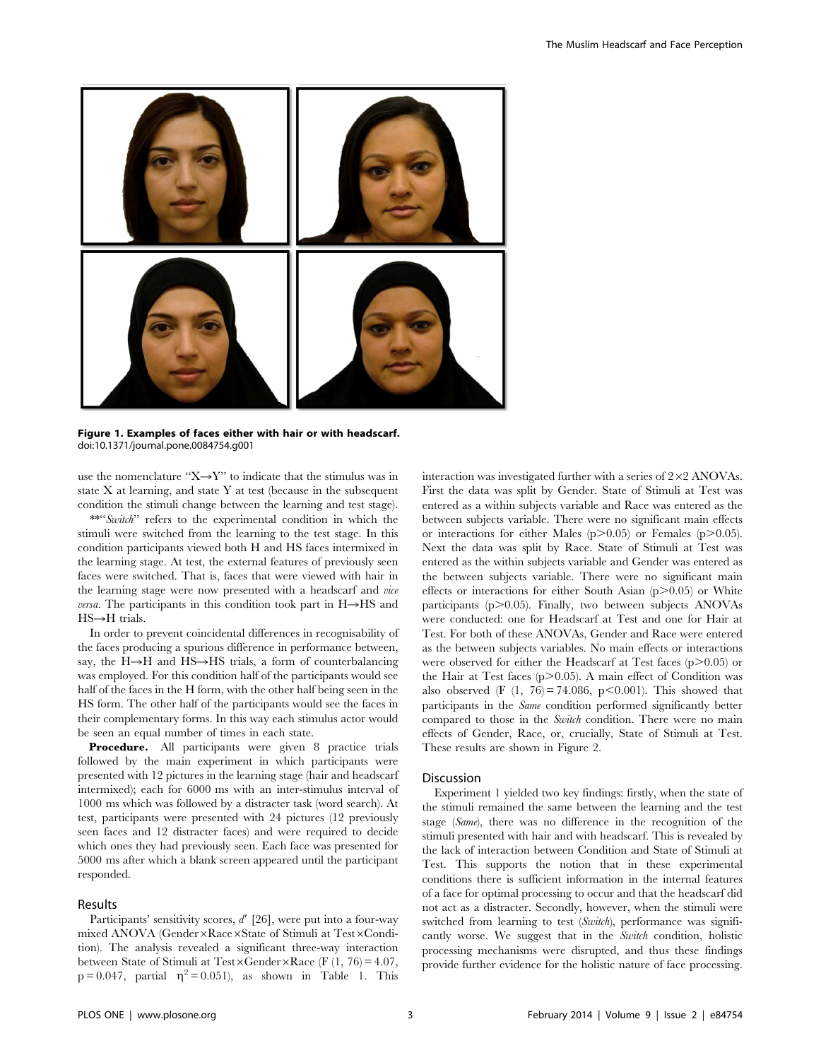

Figure 1. Examples of faces either with hair or with headscarf. doi:10.1371/journal.pone.0084754.g001

use the nomenclature " $X \rightarrow Y$ " to indicate that the stimulus was in state X at learning, and state Y at test (because in the subsequent condition the stimuli change between the learning and test stage).

\*\*"'Switch" refers to the experimental condition in which the stimuli were switched from the learning to the test stage. In this condition participants viewed both H and HS faces intermixed in the learning stage. At test, the external features of previously seen faces were switched. That is, faces that were viewed with hair in the learning stage were now presented with a headscarf and vice *versa*. The participants in this condition took part in  $H\rightarrow HS$  and  $HS \rightarrow H$  trials.

In order to prevent coincidental differences in recognisability of the faces producing a spurious difference in performance between, say, the  $H\rightarrow H$  and  $HS\rightarrow HS$  trials, a form of counterbalancing was employed. For this condition half of the participants would see half of the faces in the H form, with the other half being seen in the HS form. The other half of the participants would see the faces in their complementary forms. In this way each stimulus actor would be seen an equal number of times in each state.

Procedure. All participants were given 8 practice trials followed by the main experiment in which participants were presented with 12 pictures in the learning stage (hair and headscarf intermixed); each for 6000 ms with an inter-stimulus interval of 1000 ms which was followed by a distracter task (word search). At test, participants were presented with 24 pictures (12 previously seen faces and 12 distracter faces) and were required to decide which ones they had previously seen. Each face was presented for 5000 ms after which a blank screen appeared until the participant responded.

# Results

Participants' sensitivity scores,  $d'$  [26], were put into a four-way mixed ANOVA (Gender×Race×State of Stimuli at Test×Condition). The analysis revealed a significant three-way interaction between State of Stimuli at Test×Gender×Race (F (1, 76) = 4.07,  $p = 0.047$ , partial  $\eta^2 = 0.051$ ), as shown in Table 1. This interaction was investigated further with a series of  $2\times2$  ANOVAs. First the data was split by Gender. State of Stimuli at Test was entered as a within subjects variable and Race was entered as the between subjects variable. There were no significant main effects or interactions for either Males  $(p>0.05)$  or Females  $(p>0.05)$ . Next the data was split by Race. State of Stimuli at Test was entered as the within subjects variable and Gender was entered as the between subjects variable. There were no significant main effects or interactions for either South Asian  $(p>0.05)$  or White participants ( $p$  $>$ 0.05). Finally, two between subjects ANOVAs were conducted: one for Headscarf at Test and one for Hair at Test. For both of these ANOVAs, Gender and Race were entered as the between subjects variables. No main effects or interactions were observed for either the Headscarf at Test faces  $(p>0.05)$  or the Hair at Test faces  $(p>0.05)$ . A main effect of Condition was also observed (F  $(1, 76) = 74.086$ , p $\leq 0.001$ ). This showed that participants in the Same condition performed significantly better compared to those in the Switch condition. There were no main effects of Gender, Race, or, crucially, State of Stimuli at Test. These results are shown in Figure 2.

# Discussion

Experiment 1 yielded two key findings: firstly, when the state of the stimuli remained the same between the learning and the test stage (Same), there was no difference in the recognition of the stimuli presented with hair and with headscarf. This is revealed by the lack of interaction between Condition and State of Stimuli at Test. This supports the notion that in these experimental conditions there is sufficient information in the internal features of a face for optimal processing to occur and that the headscarf did not act as a distracter. Secondly, however, when the stimuli were switched from learning to test (Switch), performance was significantly worse. We suggest that in the Switch condition, holistic processing mechanisms were disrupted, and thus these findings provide further evidence for the holistic nature of face processing.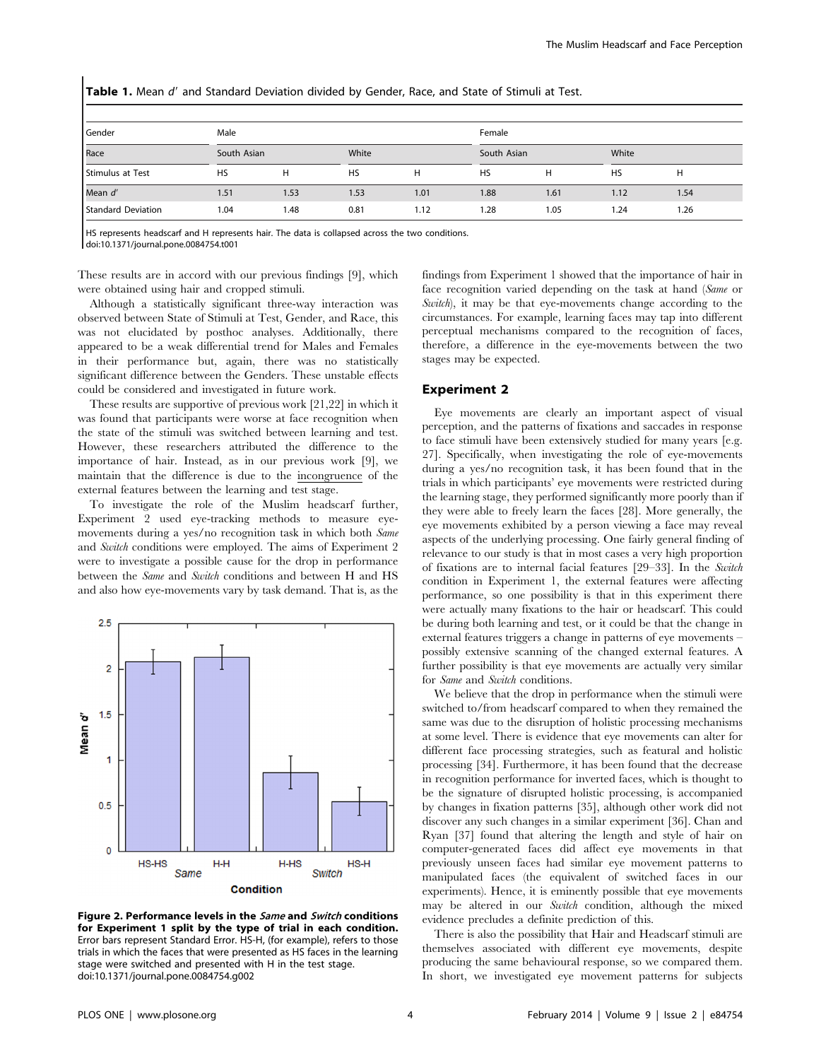Gender German Male **Manual Male Sensual Sensual Sensual Sensual** Female Sensual Sensual Sensual Sensual Sensual S Race South Asian South Asian White South Asian South Asian White South Asian White Stimulus at Test HS H HS H HS H HS H Mean d9 1.51 1.53 1.53 1.01 1.88 1.61 1.12 1.54 Standard Deviation 1.04 1.48 0.81 1.12 1.28 1.05 1.24 1.26

Table 1. Mean d' and Standard Deviation divided by Gender, Race, and State of Stimuli at Test.

HS represents headscarf and H represents hair. The data is collapsed across the two conditions. doi:10.1371/journal.pone.0084754.t001

These results are in accord with our previous findings [9], which were obtained using hair and cropped stimuli.

Although a statistically significant three-way interaction was observed between State of Stimuli at Test, Gender, and Race, this was not elucidated by posthoc analyses. Additionally, there appeared to be a weak differential trend for Males and Females in their performance but, again, there was no statistically significant difference between the Genders. These unstable effects could be considered and investigated in future work.

These results are supportive of previous work [21,22] in which it was found that participants were worse at face recognition when the state of the stimuli was switched between learning and test. However, these researchers attributed the difference to the importance of hair. Instead, as in our previous work [9], we maintain that the difference is due to the incongruence of the external features between the learning and test stage.

To investigate the role of the Muslim headscarf further, Experiment 2 used eye-tracking methods to measure eyemovements during a yes/no recognition task in which both Same and Switch conditions were employed. The aims of Experiment 2 were to investigate a possible cause for the drop in performance between the Same and Switch conditions and between H and HS and also how eye-movements vary by task demand. That is, as the



Figure 2. Performance levels in the *Same* and *Switch* conditions for Experiment 1 split by the type of trial in each condition. Error bars represent Standard Error. HS-H, (for example), refers to those trials in which the faces that were presented as HS faces in the learning stage were switched and presented with H in the test stage. doi:10.1371/journal.pone.0084754.g002

findings from Experiment 1 showed that the importance of hair in face recognition varied depending on the task at hand (Same or Switch), it may be that eye-movements change according to the circumstances. For example, learning faces may tap into different perceptual mechanisms compared to the recognition of faces, therefore, a difference in the eye-movements between the two stages may be expected.

# Experiment 2

Eye movements are clearly an important aspect of visual perception, and the patterns of fixations and saccades in response to face stimuli have been extensively studied for many years [e.g. 27]. Specifically, when investigating the role of eye-movements during a yes/no recognition task, it has been found that in the trials in which participants' eye movements were restricted during the learning stage, they performed significantly more poorly than if they were able to freely learn the faces [28]. More generally, the eye movements exhibited by a person viewing a face may reveal aspects of the underlying processing. One fairly general finding of relevance to our study is that in most cases a very high proportion of fixations are to internal facial features [29–33]. In the Switch condition in Experiment 1, the external features were affecting performance, so one possibility is that in this experiment there were actually many fixations to the hair or headscarf. This could be during both learning and test, or it could be that the change in external features triggers a change in patterns of eye movements – possibly extensive scanning of the changed external features. A further possibility is that eye movements are actually very similar for Same and Switch conditions.

We believe that the drop in performance when the stimuli were switched to/from headscarf compared to when they remained the same was due to the disruption of holistic processing mechanisms at some level. There is evidence that eye movements can alter for different face processing strategies, such as featural and holistic processing [34]. Furthermore, it has been found that the decrease in recognition performance for inverted faces, which is thought to be the signature of disrupted holistic processing, is accompanied by changes in fixation patterns [35], although other work did not discover any such changes in a similar experiment [36]. Chan and Ryan [37] found that altering the length and style of hair on computer-generated faces did affect eye movements in that previously unseen faces had similar eye movement patterns to manipulated faces (the equivalent of switched faces in our experiments). Hence, it is eminently possible that eye movements may be altered in our Switch condition, although the mixed evidence precludes a definite prediction of this.

There is also the possibility that Hair and Headscarf stimuli are themselves associated with different eye movements, despite producing the same behavioural response, so we compared them. In short, we investigated eye movement patterns for subjects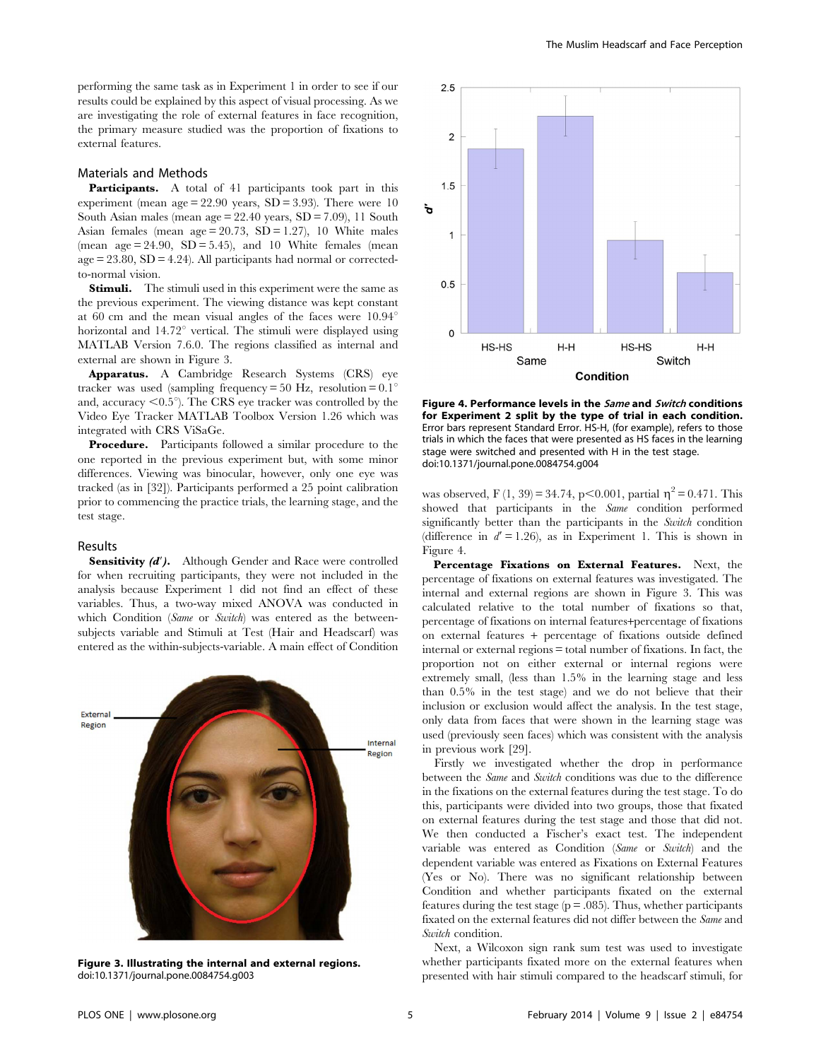performing the same task as in Experiment 1 in order to see if our results could be explained by this aspect of visual processing. As we are investigating the role of external features in face recognition, the primary measure studied was the proportion of fixations to external features.

#### Materials and Methods

Participants. A total of 41 participants took part in this experiment (mean age  $= 22.90$  years, SD  $= 3.93$ ). There were 10 South Asian males (mean  $age = 22.40$  years,  $SD = 7.09$ ), 11 South Asian females (mean age  $= 20.73$ ,  $SD = 1.27$ ), 10 White males (mean  $age = 24.90$ ,  $SD = 5.45$ ), and 10 White females (mean  $age = 23.80$ ,  $SD = 4.24$ ). All participants had normal or correctedto-normal vision.

**Stimuli.** The stimuli used in this experiment were the same as the previous experiment. The viewing distance was kept constant at 60 cm and the mean visual angles of the faces were  $10.94^{\circ}$ horizontal and 14.72° vertical. The stimuli were displayed using MATLAB Version 7.6.0. The regions classified as internal and external are shown in Figure 3.

Apparatus. A Cambridge Research Systems (CRS) eye tracker was used (sampling frequency = 50 Hz, resolution =  $0.1^{\circ}$ and, accuracy  $\leq 0.5^{\circ}$ ). The CRS eye tracker was controlled by the Video Eye Tracker MATLAB Toolbox Version 1.26 which was integrated with CRS ViSaGe.

Procedure. Participants followed a similar procedure to the one reported in the previous experiment but, with some minor differences. Viewing was binocular, however, only one eye was tracked (as in [32]). Participants performed a 25 point calibration prior to commencing the practice trials, the learning stage, and the test stage.

#### Results

**Sensitivity**  $(d')$ **.** Although Gender and Race were controlled for when recruiting participants, they were not included in the analysis because Experiment 1 did not find an effect of these variables. Thus, a two-way mixed ANOVA was conducted in which Condition (Same or Switch) was entered as the betweensubjects variable and Stimuli at Test (Hair and Headscarf) was entered as the within-subjects-variable. A main effect of Condition



Figure 3. Illustrating the internal and external regions. doi:10.1371/journal.pone.0084754.g003



Figure 4. Performance levels in the Same and Switch conditions for Experiment 2 split by the type of trial in each condition. Error bars represent Standard Error. HS-H, (for example), refers to those trials in which the faces that were presented as HS faces in the learning stage were switched and presented with H in the test stage. doi:10.1371/journal.pone.0084754.g004

was observed, F (1, 39) = 34.74, p $< 0.001$ , partial  $\eta^2 = 0.471$ . This showed that participants in the *Same* condition performed significantly better than the participants in the Switch condition (difference in  $d' = 1.26$ ), as in Experiment 1. This is shown in Figure 4.

Percentage Fixations on External Features. Next, the percentage of fixations on external features was investigated. The internal and external regions are shown in Figure 3. This was calculated relative to the total number of fixations so that, percentage of fixations on internal features+percentage of fixations on external features + percentage of fixations outside defined internal or external regions = total number of fixations. In fact, the proportion not on either external or internal regions were extremely small, (less than 1.5% in the learning stage and less than 0.5% in the test stage) and we do not believe that their inclusion or exclusion would affect the analysis. In the test stage, only data from faces that were shown in the learning stage was used (previously seen faces) which was consistent with the analysis in previous work [29].

Firstly we investigated whether the drop in performance between the Same and Switch conditions was due to the difference in the fixations on the external features during the test stage. To do this, participants were divided into two groups, those that fixated on external features during the test stage and those that did not. We then conducted a Fischer's exact test. The independent variable was entered as Condition (Same or Switch) and the dependent variable was entered as Fixations on External Features (Yes or No). There was no significant relationship between Condition and whether participants fixated on the external features during the test stage (p = .085). Thus, whether participants fixated on the external features did not differ between the Same and Switch condition.

Next, a Wilcoxon sign rank sum test was used to investigate whether participants fixated more on the external features when presented with hair stimuli compared to the headscarf stimuli, for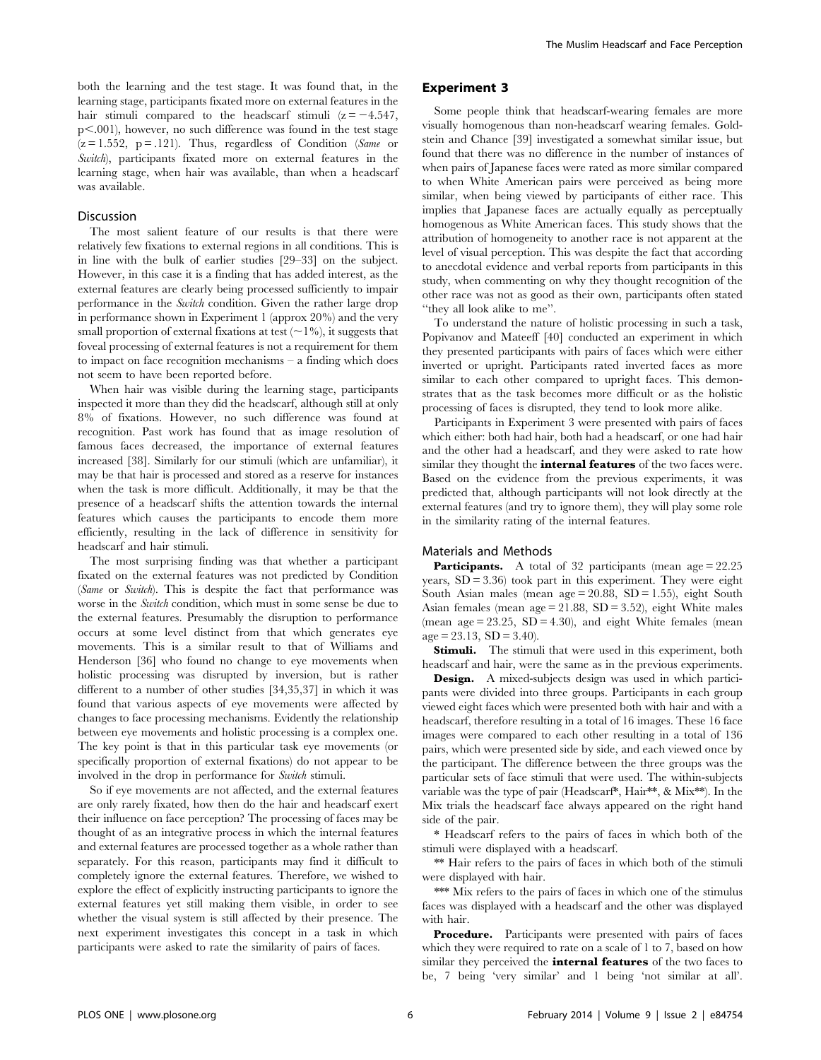both the learning and the test stage. It was found that, in the learning stage, participants fixated more on external features in the hair stimuli compared to the headscarf stimuli  $(z = -4.547,$  $p<.001$ ), however, no such difference was found in the test stage  $(z = 1.552, p = .121)$ . Thus, regardless of Condition (Same or Switch), participants fixated more on external features in the learning stage, when hair was available, than when a headscarf was available.

#### Discussion

The most salient feature of our results is that there were relatively few fixations to external regions in all conditions. This is in line with the bulk of earlier studies [29–33] on the subject. However, in this case it is a finding that has added interest, as the external features are clearly being processed sufficiently to impair performance in the Switch condition. Given the rather large drop in performance shown in Experiment 1 (approx 20%) and the very small proportion of external fixations at test  $(\sim 1\%)$ , it suggests that foveal processing of external features is not a requirement for them to impact on face recognition mechanisms – a finding which does not seem to have been reported before.

When hair was visible during the learning stage, participants inspected it more than they did the headscarf, although still at only 8% of fixations. However, no such difference was found at recognition. Past work has found that as image resolution of famous faces decreased, the importance of external features increased [38]. Similarly for our stimuli (which are unfamiliar), it may be that hair is processed and stored as a reserve for instances when the task is more difficult. Additionally, it may be that the presence of a headscarf shifts the attention towards the internal features which causes the participants to encode them more efficiently, resulting in the lack of difference in sensitivity for headscarf and hair stimuli.

The most surprising finding was that whether a participant fixated on the external features was not predicted by Condition (Same or Switch). This is despite the fact that performance was worse in the *Switch* condition, which must in some sense be due to the external features. Presumably the disruption to performance occurs at some level distinct from that which generates eye movements. This is a similar result to that of Williams and Henderson [36] who found no change to eye movements when holistic processing was disrupted by inversion, but is rather different to a number of other studies [34,35,37] in which it was found that various aspects of eye movements were affected by changes to face processing mechanisms. Evidently the relationship between eye movements and holistic processing is a complex one. The key point is that in this particular task eye movements (or specifically proportion of external fixations) do not appear to be involved in the drop in performance for Switch stimuli.

So if eye movements are not affected, and the external features are only rarely fixated, how then do the hair and headscarf exert their influence on face perception? The processing of faces may be thought of as an integrative process in which the internal features and external features are processed together as a whole rather than separately. For this reason, participants may find it difficult to completely ignore the external features. Therefore, we wished to explore the effect of explicitly instructing participants to ignore the external features yet still making them visible, in order to see whether the visual system is still affected by their presence. The next experiment investigates this concept in a task in which participants were asked to rate the similarity of pairs of faces.

# Experiment 3

Some people think that headscarf-wearing females are more visually homogenous than non-headscarf wearing females. Goldstein and Chance [39] investigated a somewhat similar issue, but found that there was no difference in the number of instances of when pairs of Japanese faces were rated as more similar compared to when White American pairs were perceived as being more similar, when being viewed by participants of either race. This implies that Japanese faces are actually equally as perceptually homogenous as White American faces. This study shows that the attribution of homogeneity to another race is not apparent at the level of visual perception. This was despite the fact that according to anecdotal evidence and verbal reports from participants in this study, when commenting on why they thought recognition of the other race was not as good as their own, participants often stated ''they all look alike to me''.

To understand the nature of holistic processing in such a task, Popivanov and Mateeff [40] conducted an experiment in which they presented participants with pairs of faces which were either inverted or upright. Participants rated inverted faces as more similar to each other compared to upright faces. This demonstrates that as the task becomes more difficult or as the holistic processing of faces is disrupted, they tend to look more alike.

Participants in Experiment 3 were presented with pairs of faces which either: both had hair, both had a headscarf, or one had hair and the other had a headscarf, and they were asked to rate how similar they thought the *internal features* of the two faces were. Based on the evidence from the previous experiments, it was predicted that, although participants will not look directly at the external features (and try to ignore them), they will play some role in the similarity rating of the internal features.

#### Materials and Methods

Participants. A total of 32 participants (mean age = 22.25) years,  $SD = 3.36$  took part in this experiment. They were eight South Asian males (mean age  $= 20.88$ , SD  $= 1.55$ ), eight South Asian females (mean  $age = 21.88$ ,  $SD = 3.52$ ), eight White males (mean  $age = 23.25$ ,  $SD = 4.30$ ), and eight White females (mean  $age = 23.13$ ,  $SD = 3.40$ ).

**Stimuli.** The stimuli that were used in this experiment, both headscarf and hair, were the same as in the previous experiments.

Design. A mixed-subjects design was used in which participants were divided into three groups. Participants in each group viewed eight faces which were presented both with hair and with a headscarf, therefore resulting in a total of 16 images. These 16 face images were compared to each other resulting in a total of 136 pairs, which were presented side by side, and each viewed once by the participant. The difference between the three groups was the particular sets of face stimuli that were used. The within-subjects variable was the type of pair (Headscarf\*, Hair\*\*, & Mix\*\*). In the Mix trials the headscarf face always appeared on the right hand side of the pair.

\* Headscarf refers to the pairs of faces in which both of the stimuli were displayed with a headscarf.

\*\* Hair refers to the pairs of faces in which both of the stimuli were displayed with hair.

\*\*\* Mix refers to the pairs of faces in which one of the stimulus faces was displayed with a headscarf and the other was displayed with hair.

Procedure. Participants were presented with pairs of faces which they were required to rate on a scale of 1 to 7, based on how similar they perceived the *internal features* of the two faces to be, 7 being 'very similar' and 1 being 'not similar at all'.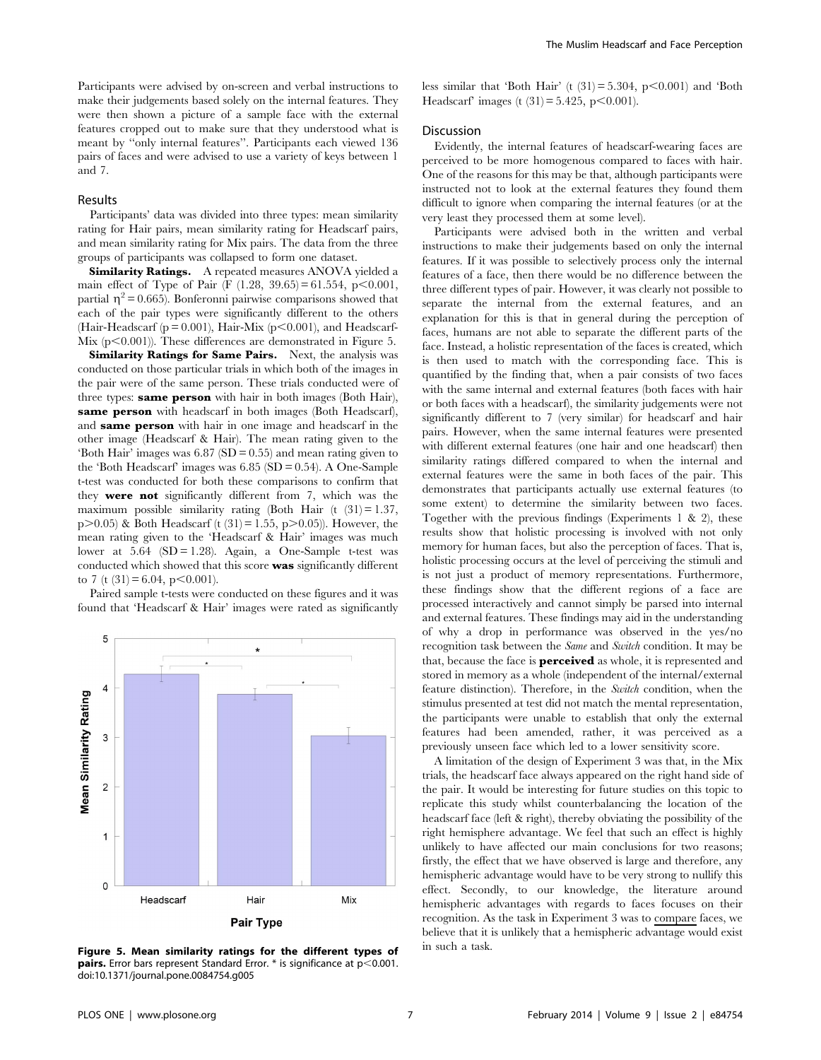Participants were advised by on-screen and verbal instructions to make their judgements based solely on the internal features. They were then shown a picture of a sample face with the external features cropped out to make sure that they understood what is meant by ''only internal features''. Participants each viewed 136 pairs of faces and were advised to use a variety of keys between 1 and 7.

#### Results

Participants' data was divided into three types: mean similarity rating for Hair pairs, mean similarity rating for Headscarf pairs, and mean similarity rating for Mix pairs. The data from the three groups of participants was collapsed to form one dataset.

Similarity Ratings. A repeated measures ANOVA yielded a main effect of Type of Pair (F  $(1.28, 39.65) = 61.554, p < 0.001$ , partial  $\eta^2$  = 0.665). Bonferonni pairwise comparisons showed that each of the pair types were significantly different to the others (Hair-Headscarf ( $p = 0.001$ ), Hair-Mix ( $p < 0.001$ ), and Headscarf-Mix  $(p<0.001)$ ). These differences are demonstrated in Figure 5.

Similarity Ratings for Same Pairs. Next, the analysis was conducted on those particular trials in which both of the images in the pair were of the same person. These trials conducted were of three types: same person with hair in both images (Both Hair), same person with headscarf in both images (Both Headscarf), and same person with hair in one image and headscarf in the other image (Headscarf & Hair). The mean rating given to the 'Both Hair' images was 6.87 (SD = 0.55) and mean rating given to the 'Both Headscarf' images was 6.85 (SD = 0.54). A One-Sample t-test was conducted for both these comparisons to confirm that they were not significantly different from 7, which was the maximum possible similarity rating (Both Hair  $(t (31) = 1.37)$ ,  $p>0.05$ ) & Both Headscarf (t (31) = 1.55,  $p>0.05$ )). However, the mean rating given to the 'Headscarf & Hair' images was much lower at  $5.64$  (SD = 1.28). Again, a One-Sample t-test was conducted which showed that this score was significantly different to 7 (t  $(31) = 6.04$ , p $< 0.001$ ).

Paired sample t-tests were conducted on these figures and it was found that 'Headscarf & Hair' images were rated as significantly



Figure 5. Mean similarity ratings for the different types of  $\quad$  in such a task. **pairs.** Error bars represent Standard Error.  $*$  is significance at  $p$ <0.001. doi:10.1371/journal.pone.0084754.g005

less similar that 'Both Hair' (t  $(31) = 5.304$ , p $\leq 0.001$ ) and 'Both Headscarf' images (t  $(31) = 5.425$ , p $\leq 0.001$ ).

# Discussion

Evidently, the internal features of headscarf-wearing faces are perceived to be more homogenous compared to faces with hair. One of the reasons for this may be that, although participants were instructed not to look at the external features they found them difficult to ignore when comparing the internal features (or at the very least they processed them at some level).

Participants were advised both in the written and verbal instructions to make their judgements based on only the internal features. If it was possible to selectively process only the internal features of a face, then there would be no difference between the three different types of pair. However, it was clearly not possible to separate the internal from the external features, and an explanation for this is that in general during the perception of faces, humans are not able to separate the different parts of the face. Instead, a holistic representation of the faces is created, which is then used to match with the corresponding face. This is quantified by the finding that, when a pair consists of two faces with the same internal and external features (both faces with hair or both faces with a headscarf), the similarity judgements were not significantly different to 7 (very similar) for headscarf and hair pairs. However, when the same internal features were presented with different external features (one hair and one headscarf) then similarity ratings differed compared to when the internal and external features were the same in both faces of the pair. This demonstrates that participants actually use external features (to some extent) to determine the similarity between two faces. Together with the previous findings (Experiments  $1 \& 2$ ), these results show that holistic processing is involved with not only memory for human faces, but also the perception of faces. That is, holistic processing occurs at the level of perceiving the stimuli and is not just a product of memory representations. Furthermore, these findings show that the different regions of a face are processed interactively and cannot simply be parsed into internal and external features. These findings may aid in the understanding of why a drop in performance was observed in the yes/no recognition task between the Same and Switch condition. It may be that, because the face is **perceived** as whole, it is represented and stored in memory as a whole (independent of the internal/external feature distinction). Therefore, in the Switch condition, when the stimulus presented at test did not match the mental representation, the participants were unable to establish that only the external features had been amended, rather, it was perceived as a previously unseen face which led to a lower sensitivity score.

A limitation of the design of Experiment 3 was that, in the Mix trials, the headscarf face always appeared on the right hand side of the pair. It would be interesting for future studies on this topic to replicate this study whilst counterbalancing the location of the headscarf face (left & right), thereby obviating the possibility of the right hemisphere advantage. We feel that such an effect is highly unlikely to have affected our main conclusions for two reasons; firstly, the effect that we have observed is large and therefore, any hemispheric advantage would have to be very strong to nullify this effect. Secondly, to our knowledge, the literature around hemispheric advantages with regards to faces focuses on their recognition. As the task in Experiment 3 was to compare faces, we believe that it is unlikely that a hemispheric advantage would exist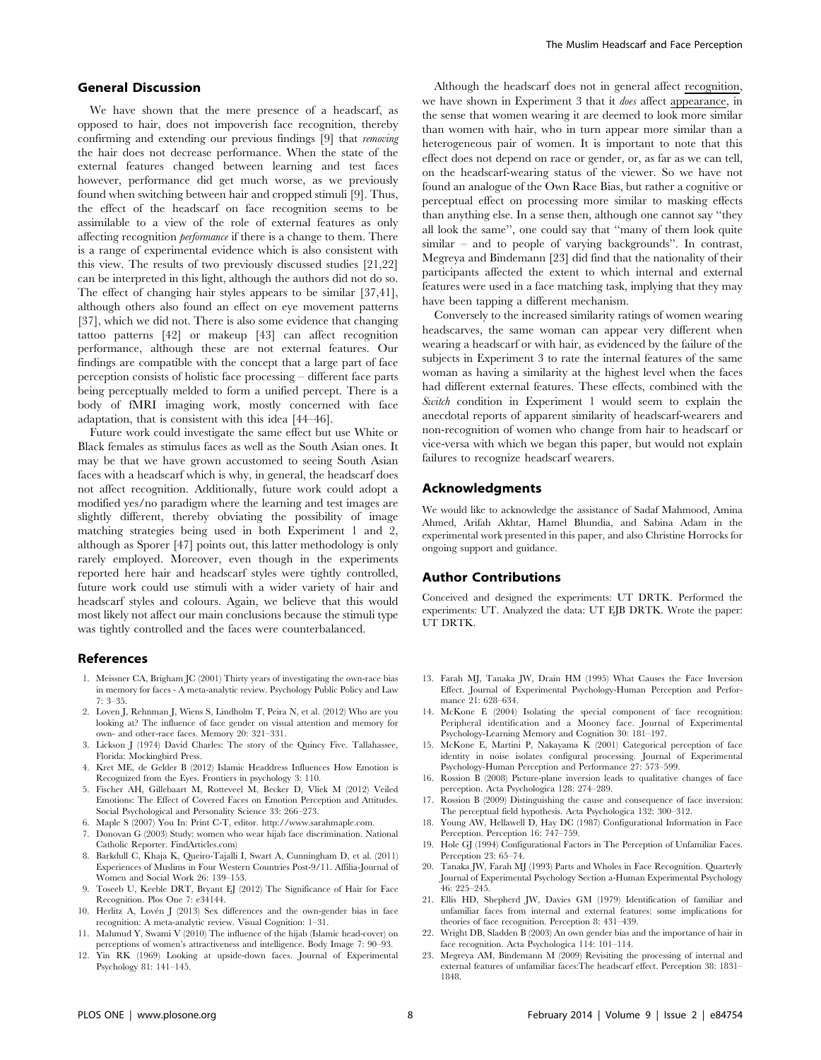# General Discussion

We have shown that the mere presence of a headscarf, as opposed to hair, does not impoverish face recognition, thereby confirming and extending our previous findings [9] that removing the hair does not decrease performance. When the state of the external features changed between learning and test faces however, performance did get much worse, as we previously found when switching between hair and cropped stimuli [9]. Thus, the effect of the headscarf on face recognition seems to be assimilable to a view of the role of external features as only affecting recognition performance if there is a change to them. There is a range of experimental evidence which is also consistent with this view. The results of two previously discussed studies [21,22] can be interpreted in this light, although the authors did not do so. The effect of changing hair styles appears to be similar [37,41], although others also found an effect on eye movement patterns [37], which we did not. There is also some evidence that changing tattoo patterns [42] or makeup [43] can affect recognition performance, although these are not external features. Our findings are compatible with the concept that a large part of face perception consists of holistic face processing – different face parts being perceptually melded to form a unified percept. There is a body of fMRI imaging work, mostly concerned with face adaptation, that is consistent with this idea [44–46].

Future work could investigate the same effect but use White or Black females as stimulus faces as well as the South Asian ones. It may be that we have grown accustomed to seeing South Asian faces with a headscarf which is why, in general, the headscarf does not affect recognition. Additionally, future work could adopt a modified yes/no paradigm where the learning and test images are slightly different, thereby obviating the possibility of image matching strategies being used in both Experiment 1 and 2, although as Sporer [47] points out, this latter methodology is only rarely employed. Moreover, even though in the experiments reported here hair and headscarf styles were tightly controlled, future work could use stimuli with a wider variety of hair and headscarf styles and colours. Again, we believe that this would most likely not affect our main conclusions because the stimuli type was tightly controlled and the faces were counterbalanced.

#### References

- 1. Meissner CA, Brigham JC (2001) Thirty years of investigating the own-race bias in memory for faces - A meta-analytic review. Psychology Public Policy and Law 7: 3–35.
- 2. Loven J, Rehnman J, Wiens S, Lindholm T, Peira N, et al. (2012) Who are you looking at? The influence of face gender on visual attention and memory for own- and other-race faces. Memory 20: 321–331.
- 3. Lickson J (1974) David Charles: The story of the Quincy Five. Tallahassee, Florida: Mockingbird Press.
- 4. Kret ME, de Gelder B (2012) Islamic Headdress Influences How Emotion is Recognized from the Eyes. Frontiers in psychology 3: 110.
- 5. Fischer AH, Gillebaart M, Rotteveel M, Becker D, Vliek M (2012) Veiled Emotions: The Effect of Covered Faces on Emotion Perception and Attitudes. Social Psychological and Personality Science 33: 266–273.
- 6. Maple S (2007) You In: Print C-T, editor. http://www.sarahmaple.com.
- 7. Donovan G (2003) Study: women who wear hijab face discrimination. National Catholic Reporter. FindArticles.com)
- 8. Barkdull C, Khaja K, Queiro-Tajalli I, Swart A, Cunningham D, et al. (2011) Experiences of Muslims in Four Western Countries Post-9/11. Affilia-Journal of Women and Social Work 26: 139–153.
- 9. Toseeb U, Keeble DRT, Bryant EJ (2012) The Significance of Hair for Face Recognition. Plos One 7: e34144.
- 10. Herlitz A, Lovén J (2013) Sex differences and the own-gender bias in face recognition: A meta-analytic review. Visual Cognition: 1–31.
- 11. Mahmud Y, Swami V (2010) The influence of the hijab (Islamic head-cover) on perceptions of women's attractiveness and intelligence. Body Image 7: 90–93.
- 12. Yin RK (1969) Looking at upside-down faces. Journal of Experimental Psychology 81: 141–145.

Although the headscarf does not in general affect recognition, we have shown in Experiment 3 that it does affect appearance, in the sense that women wearing it are deemed to look more similar than women with hair, who in turn appear more similar than a heterogeneous pair of women. It is important to note that this effect does not depend on race or gender, or, as far as we can tell, on the headscarf-wearing status of the viewer. So we have not found an analogue of the Own Race Bias, but rather a cognitive or perceptual effect on processing more similar to masking effects than anything else. In a sense then, although one cannot say ''they all look the same'', one could say that ''many of them look quite  $\sin\theta$  – and to people of varying backgrounds". In contrast, Megreya and Bindemann [23] did find that the nationality of their participants affected the extent to which internal and external features were used in a face matching task, implying that they may have been tapping a different mechanism.

Conversely to the increased similarity ratings of women wearing headscarves, the same woman can appear very different when wearing a headscarf or with hair, as evidenced by the failure of the subjects in Experiment 3 to rate the internal features of the same woman as having a similarity at the highest level when the faces had different external features. These effects, combined with the Switch condition in Experiment 1 would seem to explain the anecdotal reports of apparent similarity of headscarf-wearers and non-recognition of women who change from hair to headscarf or vice-versa with which we began this paper, but would not explain failures to recognize headscarf wearers.

# Acknowledgments

We would like to acknowledge the assistance of Sadaf Mahmood, Amina Ahmed, Arifah Akhtar, Hamel Bhundia, and Sabina Adam in the experimental work presented in this paper, and also Christine Horrocks for ongoing support and guidance.

# Author Contributions

Conceived and designed the experiments: UT DRTK. Performed the experiments: UT. Analyzed the data: UT EJB DRTK. Wrote the paper: UT DRTK.

- 13. Farah MJ, Tanaka JW, Drain HM (1995) What Causes the Face Inversion Effect. Journal of Experimental Psychology-Human Perception and Performance 21: 628–634.
- 14. McKone E (2004) Isolating the special component of face recognition: Peripheral identification and a Mooney face. Journal of Experimental Psychology-Learning Memory and Cognition 30: 181–197.
- 15. McKone E, Martini P, Nakayama K (2001) Categorical perception of face identity in noise isolates configural processing. Journal of Experimental Psychology-Human Perception and Performance 27: 573–599.
- 16. Rossion B (2008) Picture-plane inversion leads to qualitative changes of face perception. Acta Psychologica 128: 274–289.
- 17. Rossion B (2009) Distinguishing the cause and consequence of face inversion: The perceptual field hypothesis. Acta Psychologica 132: 300–312.
- 18. Young AW, Hellawell D, Hay DC (1987) Configurational Information in Face Perception. Perception 16: 747–759.
- 19. Hole GJ (1994) Configurational Factors in The Perception of Unfamiliar Faces. Perception 23: 65–74.
- 20. Tanaka JW, Farah MJ (1993) Parts and Wholes in Face Recognition. Quarterly Journal of Experimental Psychology Section a-Human Experimental Psychology 46: 225–245.
- 21. Ellis HD, Shepherd JW, Davies GM (1979) Identification of familiar and unfamiliar faces from internal and external features: some implications for theories of face recognition. Perception 8: 431–439.
- 22. Wright DB, Sladden B (2003) An own gender bias and the importance of hair in face recognition. Acta Psychologica 114: 101–114.
- 23. Megreya AM, Bindemann M (2009) Revisiting the processing of internal and external features of unfamiliar faces:The headscarf effect. Perception 38: 1831– 1848.